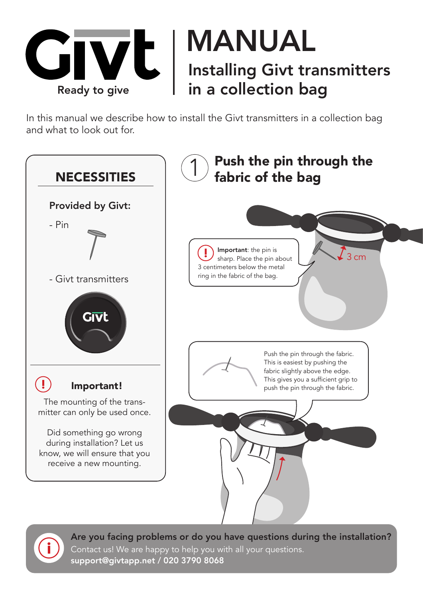

In this manual we describe how to install the Givt transmitters in a collection bag and what to look out for.





Are you facing problems or do you have questions during the installation? Contact us! We are happy to help you with all your questions. support@givtapp.net / 020 3790 8068